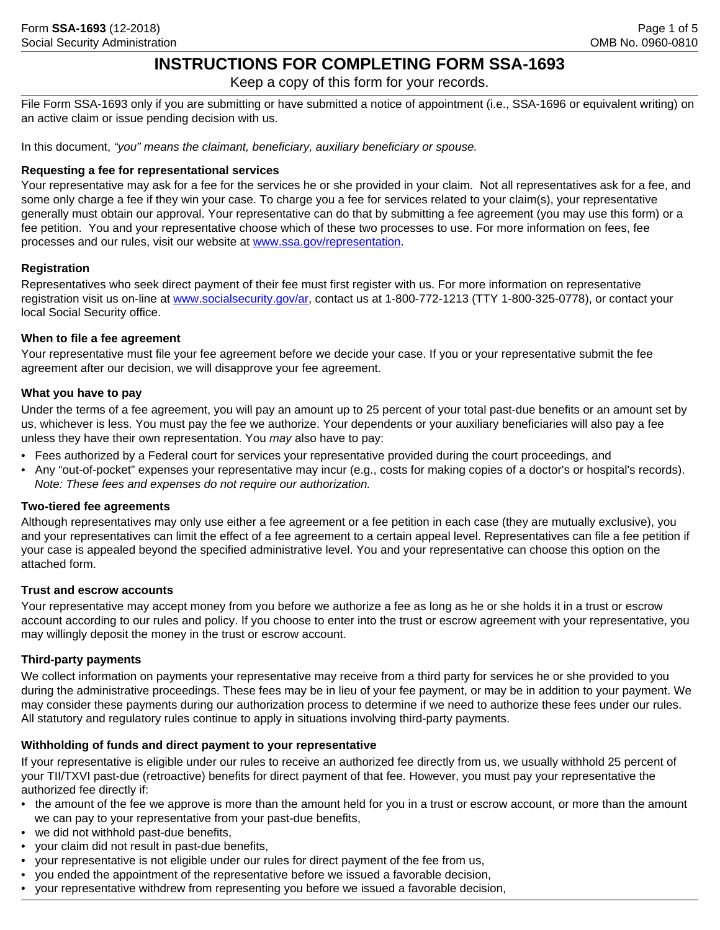# **INSTRUCTIONS FOR COMPLETING FORM SSA-1693**

Keep a copy of this form for your records.

File Form SSA-1693 only if you are submitting or have submitted a notice of appointment (i.e., SSA-1696 or equivalent writing) on an active claim or issue pending decision with us.

In this document, *"you" means the claimant, beneficiary, auxiliary beneficiary or spouse.* 

#### **Requesting a fee for representational services**

Your representative may ask for a fee for the services he or she provided in your claim. Not all representatives ask for a fee, and some only charge a fee if they win your case. To charge you a fee for services related to your claim(s), your representative generally must obtain our approval. Your representative can do that by submitting a fee agreement (you may use this form) or a fee petition. You and your representative choose which of these two processes to use. For more information on fees, fee processes and our rules, visit our website at www.ssa.gov/representation.

#### **Registration**

Representatives who seek direct payment of their fee must first register with us. For more information on representative registration visit us on-line at www.socialsecurity.gov/ar, contact us at 1-800-772-1213 (TTY 1-800-325-0778), or contact your local Social Security office.

#### **When to file a fee agreement**

Your representative must file your fee agreement before we decide your case. If you or your representative submit the fee agreement after our decision, we will disapprove your fee agreement.

#### **What you have to pay**

Under the terms of a fee agreement, you will pay an amount up to 25 percent of your total past-due benefits or an amount set by us, whichever is less. You must pay the fee we authorize. Your dependents or your auxiliary beneficiaries will also pay a fee unless they have their own representation. You *may* also have to pay:

- Fees authorized by a Federal court for services your representative provided during the court proceedings, and
- Any "out-of-pocket" expenses your representative may incur (e.g., costs for making copies of a doctor's or hospital's records). *Note: These fees and expenses do not require our authorization.*

#### **Two-tiered fee agreements**

Although representatives may only use either a fee agreement or a fee petition in each case (they are mutually exclusive), you and your representatives can limit the effect of a fee agreement to a certain appeal level. Representatives can file a fee petition if your case is appealed beyond the specified administrative level. You and your representative can choose this option on the attached form.

#### **Trust and escrow accounts**

Your representative may accept money from you before we authorize a fee as long as he or she holds it in a trust or escrow account according to our rules and policy. If you choose to enter into the trust or escrow agreement with your representative, you may willingly deposit the money in the trust or escrow account.

## **Third-party payments**

We collect information on payments your representative may receive from a third party for services he or she provided to you during the administrative proceedings. These fees may be in lieu of your fee payment, or may be in addition to your payment. We may consider these payments during our authorization process to determine if we need to authorize these fees under our rules. All statutory and regulatory rules continue to apply in situations involving third-party payments.

## **Withholding of funds and direct payment to your representative**

If your representative is eligible under our rules to receive an authorized fee directly from us, we usually withhold 25 percent of your TII/TXVI past-due (retroactive) benefits for direct payment of that fee. However, you must pay your representative the authorized fee directly if:

- the amount of the fee we approve is more than the amount held for you in a trust or escrow account, or more than the amount we can pay to your representative from your past-due benefits,
- we did not withhold past-due benefits,
- your claim did not result in past-due benefits,
- your representative is not eligible under our rules for direct payment of the fee from us,
- you ended the appointment of the representative before we issued a favorable decision,
- your representative withdrew from representing you before we issued a favorable decision,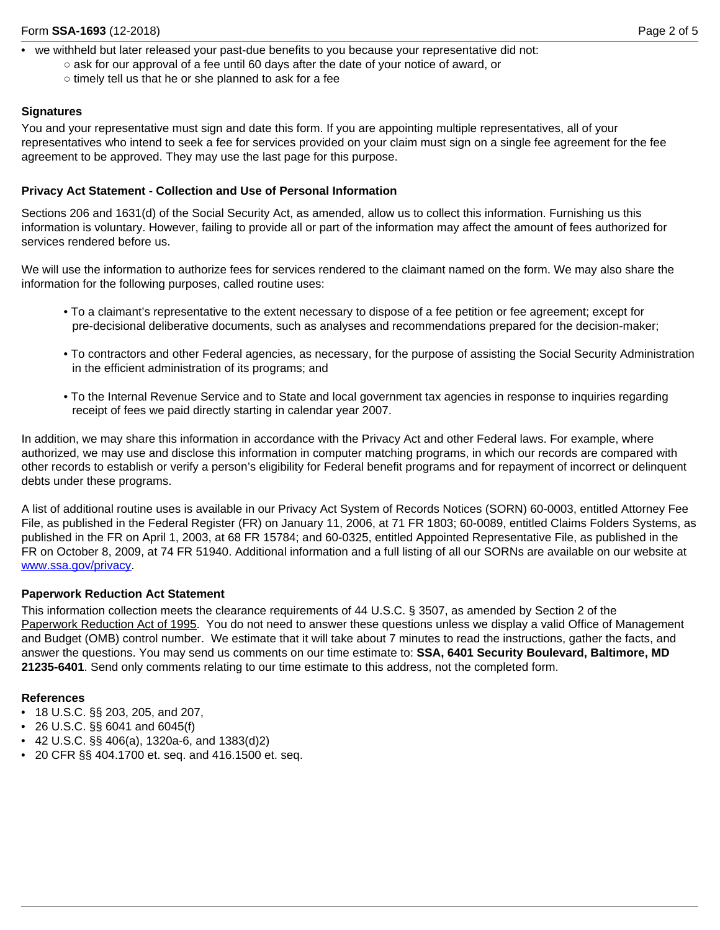- we withheld but later released your past-due benefits to you because your representative did not:
	- ask for our approval of a fee until 60 days after the date of your notice of award, or
		- timely tell us that he or she planned to ask for a fee

#### **Signatures**

You and your representative must sign and date this form. If you are appointing multiple representatives, all of your representatives who intend to seek a fee for services provided on your claim must sign on a single fee agreement for the fee agreement to be approved. They may use the last page for this purpose.

#### **Privacy Act Statement - Collection and Use of Personal Information**

Sections 206 and 1631(d) of the Social Security Act, as amended, allow us to collect this information. Furnishing us this information is voluntary. However, failing to provide all or part of the information may affect the amount of fees authorized for services rendered before us.

We will use the information to authorize fees for services rendered to the claimant named on the form. We may also share the information for the following purposes, called routine uses:

- To a claimant's representative to the extent necessary to dispose of a fee petition or fee agreement; except for pre-decisional deliberative documents, such as analyses and recommendations prepared for the decision-maker;
- To contractors and other Federal agencies, as necessary, for the purpose of assisting the Social Security Administration in the efficient administration of its programs; and
- To the Internal Revenue Service and to State and local government tax agencies in response to inquiries regarding receipt of fees we paid directly starting in calendar year 2007.

In addition, we may share this information in accordance with the Privacy Act and other Federal laws. For example, where authorized, we may use and disclose this information in computer matching programs, in which our records are compared with other records to establish or verify a person's eligibility for Federal benefit programs and for repayment of incorrect or delinquent debts under these programs.

A list of additional routine uses is available in our Privacy Act System of Records Notices (SORN) 60-0003, entitled Attorney Fee File, as published in the Federal Register (FR) on January 11, 2006, at 71 FR 1803; 60-0089, entitled Claims Folders Systems, as published in the FR on April 1, 2003, at 68 FR 15784; and 60-0325, entitled Appointed Representative File, as published in the FR on October 8, 2009, at 74 FR 51940. Additional information and a full listing of all our SORNs are available on our website at www.ssa.gov/privacy.

## **Paperwork Reduction Act Statement**

This information collection meets the clearance requirements of 44 U.S.C. § 3507, as amended by Section 2 of the Paperwork Reduction Act of 1995. You do not need to answer these questions unless we display a valid Office of Management and Budget (OMB) control number. We estimate that it will take about 7 minutes to read the instructions, gather the facts, and answer the questions. You may send us comments on our time estimate to: **SSA, 6401 Security Boulevard, Baltimore, MD 21235-6401**. Send only comments relating to our time estimate to this address, not the completed form.

#### **References**

- 18 U.S.C. §§ 203, 205, and 207,
- 26 U.S.C. §§ 6041 and 6045(f)
- 42 U.S.C. §§ 406(a), 1320a-6, and 1383(d)2)
- 20 CFR §§ 404.1700 et. seq. and 416.1500 et. seq.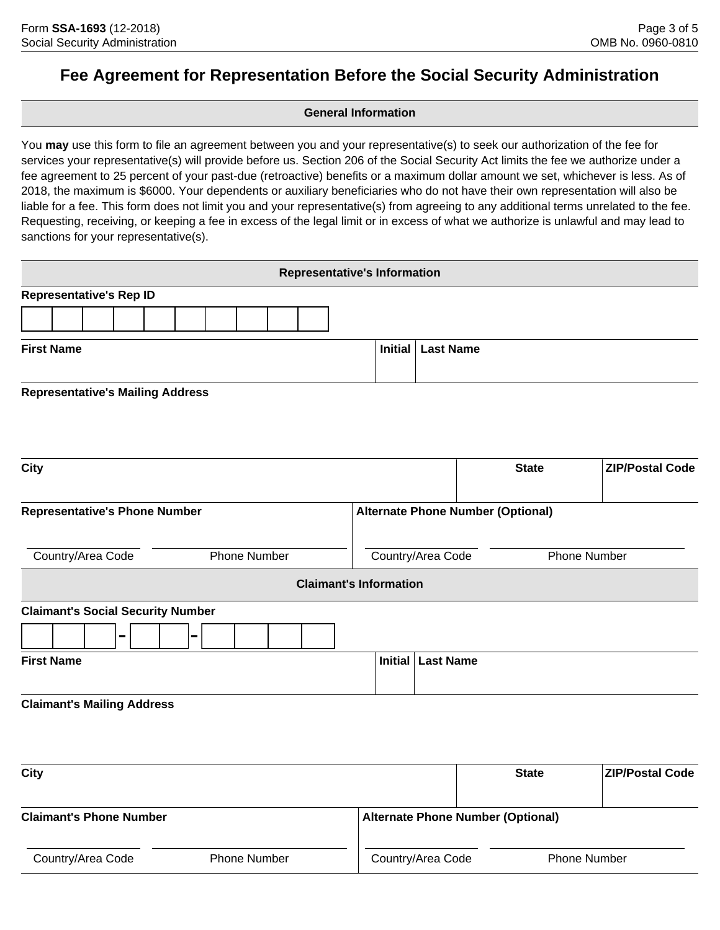# **Fee Agreement for Representation Before the Social Security Administration**

# **General Information**

You **may** use this form to file an agreement between you and your representative(s) to seek our authorization of the fee for services your representative(s) will provide before us. Section 206 of the Social Security Act limits the fee we authorize under a fee agreement to 25 percent of your past-due (retroactive) benefits or a maximum dollar amount we set, whichever is less. As of 2018, the maximum is \$6000. Your dependents or auxiliary beneficiaries who do not have their own representation will also be liable for a fee. This form does not limit you and your representative(s) from agreeing to any additional terms unrelated to the fee. Requesting, receiving, or keeping a fee in excess of the legal limit or in excess of what we authorize is unlawful and may lead to sanctions for your representative(s).

|                                          |                |                     |  | <b>Representative's Information</b>      |                     |              |                        |  |  |  |  |  |  |
|------------------------------------------|----------------|---------------------|--|------------------------------------------|---------------------|--------------|------------------------|--|--|--|--|--|--|
| <b>Representative's Rep ID</b>           |                |                     |  |                                          |                     |              |                        |  |  |  |  |  |  |
|                                          |                |                     |  |                                          |                     |              |                        |  |  |  |  |  |  |
| <b>First Name</b>                        |                |                     |  | <b>Initial</b>                           | <b>Last Name</b>    |              |                        |  |  |  |  |  |  |
| <b>Representative's Mailing Address</b>  |                |                     |  |                                          |                     |              |                        |  |  |  |  |  |  |
| <b>City</b>                              |                |                     |  |                                          |                     | <b>State</b> | <b>ZIP/Postal Code</b> |  |  |  |  |  |  |
| <b>Representative's Phone Number</b>     |                |                     |  | <b>Alternate Phone Number (Optional)</b> |                     |              |                        |  |  |  |  |  |  |
| Country/Area Code                        |                | <b>Phone Number</b> |  | Country/Area Code                        |                     |              | <b>Phone Number</b>    |  |  |  |  |  |  |
|                                          |                |                     |  | <b>Claimant's Information</b>            |                     |              |                        |  |  |  |  |  |  |
| <b>Claimant's Social Security Number</b> |                |                     |  |                                          |                     |              |                        |  |  |  |  |  |  |
| ш.                                       | $\blacksquare$ |                     |  |                                          |                     |              |                        |  |  |  |  |  |  |
| <b>First Name</b>                        |                |                     |  |                                          | Initial   Last Name |              |                        |  |  |  |  |  |  |
| <b>Claimant's Mailing Address</b>        |                |                     |  |                                          |                     |              |                        |  |  |  |  |  |  |

| City                           |                     | <b>State</b>      | <b>ZIP/Postal Code</b>                   |  |  |  |  |  |  |  |
|--------------------------------|---------------------|-------------------|------------------------------------------|--|--|--|--|--|--|--|
|                                |                     |                   |                                          |  |  |  |  |  |  |  |
| <b>Claimant's Phone Number</b> |                     |                   | <b>Alternate Phone Number (Optional)</b> |  |  |  |  |  |  |  |
| Country/Area Code              | <b>Phone Number</b> | Country/Area Code | <b>Phone Number</b>                      |  |  |  |  |  |  |  |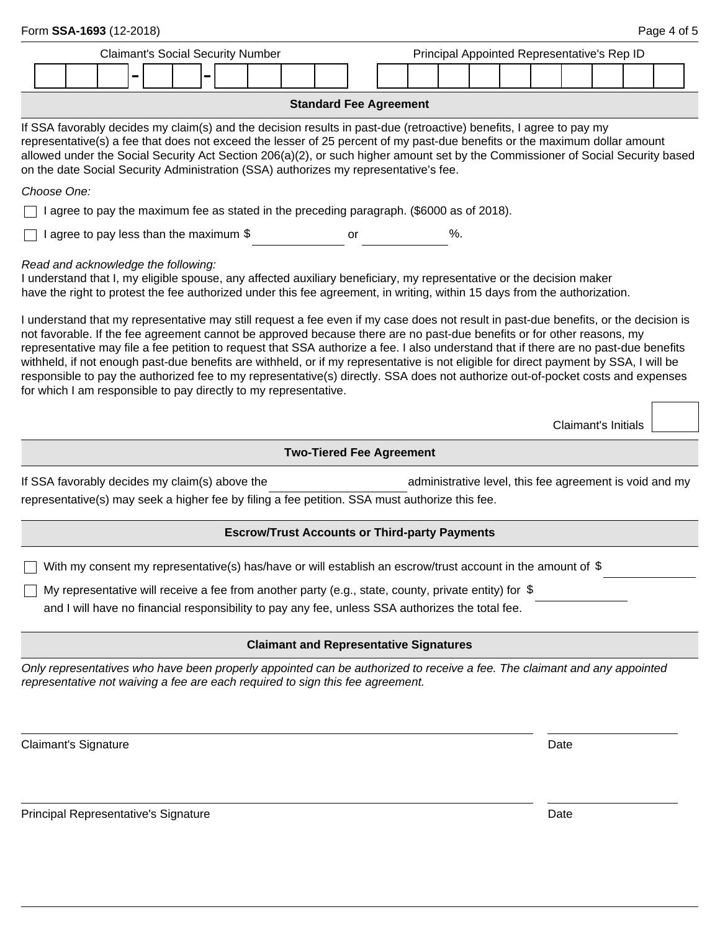| Form SSA-1693 (12-2018)                                                                                                                                                                                                                                                                                                                                                                                                                                                                                                                                                                                                                                                                                                                                                                                                                                                                                                                                                                                                                           |                                                                                                             |  |  |  |  |  |                                                      |  |                                 |  |  |      |  |  |  |                                                         |  |                     |  | Page 4 of 5 |  |
|---------------------------------------------------------------------------------------------------------------------------------------------------------------------------------------------------------------------------------------------------------------------------------------------------------------------------------------------------------------------------------------------------------------------------------------------------------------------------------------------------------------------------------------------------------------------------------------------------------------------------------------------------------------------------------------------------------------------------------------------------------------------------------------------------------------------------------------------------------------------------------------------------------------------------------------------------------------------------------------------------------------------------------------------------|-------------------------------------------------------------------------------------------------------------|--|--|--|--|--|------------------------------------------------------|--|---------------------------------|--|--|------|--|--|--|---------------------------------------------------------|--|---------------------|--|-------------|--|
|                                                                                                                                                                                                                                                                                                                                                                                                                                                                                                                                                                                                                                                                                                                                                                                                                                                                                                                                                                                                                                                   |                                                                                                             |  |  |  |  |  | Principal Appointed Representative's Rep ID          |  |                                 |  |  |      |  |  |  |                                                         |  |                     |  |             |  |
|                                                                                                                                                                                                                                                                                                                                                                                                                                                                                                                                                                                                                                                                                                                                                                                                                                                                                                                                                                                                                                                   | Ē                                                                                                           |  |  |  |  |  |                                                      |  |                                 |  |  |      |  |  |  |                                                         |  |                     |  |             |  |
|                                                                                                                                                                                                                                                                                                                                                                                                                                                                                                                                                                                                                                                                                                                                                                                                                                                                                                                                                                                                                                                   |                                                                                                             |  |  |  |  |  |                                                      |  | <b>Standard Fee Agreement</b>   |  |  |      |  |  |  |                                                         |  |                     |  |             |  |
| If SSA favorably decides my claim(s) and the decision results in past-due (retroactive) benefits, I agree to pay my<br>representative(s) a fee that does not exceed the lesser of 25 percent of my past-due benefits or the maximum dollar amount<br>allowed under the Social Security Act Section 206(a)(2), or such higher amount set by the Commissioner of Social Security based<br>on the date Social Security Administration (SSA) authorizes my representative's fee.                                                                                                                                                                                                                                                                                                                                                                                                                                                                                                                                                                      |                                                                                                             |  |  |  |  |  |                                                      |  |                                 |  |  |      |  |  |  |                                                         |  |                     |  |             |  |
| Choose One:                                                                                                                                                                                                                                                                                                                                                                                                                                                                                                                                                                                                                                                                                                                                                                                                                                                                                                                                                                                                                                       |                                                                                                             |  |  |  |  |  |                                                      |  |                                 |  |  |      |  |  |  |                                                         |  |                     |  |             |  |
|                                                                                                                                                                                                                                                                                                                                                                                                                                                                                                                                                                                                                                                                                                                                                                                                                                                                                                                                                                                                                                                   | I agree to pay the maximum fee as stated in the preceding paragraph. (\$6000 as of 2018).                   |  |  |  |  |  |                                                      |  |                                 |  |  |      |  |  |  |                                                         |  |                     |  |             |  |
| I agree to pay less than the maximum \$<br>%.<br>or                                                                                                                                                                                                                                                                                                                                                                                                                                                                                                                                                                                                                                                                                                                                                                                                                                                                                                                                                                                               |                                                                                                             |  |  |  |  |  |                                                      |  |                                 |  |  |      |  |  |  |                                                         |  |                     |  |             |  |
| Read and acknowledge the following:<br>I understand that I, my eligible spouse, any affected auxiliary beneficiary, my representative or the decision maker<br>have the right to protest the fee authorized under this fee agreement, in writing, within 15 days from the authorization.<br>I understand that my representative may still request a fee even if my case does not result in past-due benefits, or the decision is<br>not favorable. If the fee agreement cannot be approved because there are no past-due benefits or for other reasons, my<br>representative may file a fee petition to request that SSA authorize a fee. I also understand that if there are no past-due benefits<br>withheld, if not enough past-due benefits are withheld, or if my representative is not eligible for direct payment by SSA, I will be<br>responsible to pay the authorized fee to my representative(s) directly. SSA does not authorize out-of-pocket costs and expenses<br>for which I am responsible to pay directly to my representative. |                                                                                                             |  |  |  |  |  |                                                      |  |                                 |  |  |      |  |  |  |                                                         |  |                     |  |             |  |
|                                                                                                                                                                                                                                                                                                                                                                                                                                                                                                                                                                                                                                                                                                                                                                                                                                                                                                                                                                                                                                                   |                                                                                                             |  |  |  |  |  |                                                      |  |                                 |  |  |      |  |  |  |                                                         |  | Claimant's Initials |  |             |  |
|                                                                                                                                                                                                                                                                                                                                                                                                                                                                                                                                                                                                                                                                                                                                                                                                                                                                                                                                                                                                                                                   |                                                                                                             |  |  |  |  |  |                                                      |  | <b>Two-Tiered Fee Agreement</b> |  |  |      |  |  |  |                                                         |  |                     |  |             |  |
| If SSA favorably decides my claim(s) above the<br>representative(s) may seek a higher fee by filing a fee petition. SSA must authorize this fee.                                                                                                                                                                                                                                                                                                                                                                                                                                                                                                                                                                                                                                                                                                                                                                                                                                                                                                  |                                                                                                             |  |  |  |  |  |                                                      |  |                                 |  |  |      |  |  |  | administrative level, this fee agreement is void and my |  |                     |  |             |  |
|                                                                                                                                                                                                                                                                                                                                                                                                                                                                                                                                                                                                                                                                                                                                                                                                                                                                                                                                                                                                                                                   |                                                                                                             |  |  |  |  |  | <b>Escrow/Trust Accounts or Third-party Payments</b> |  |                                 |  |  |      |  |  |  |                                                         |  |                     |  |             |  |
|                                                                                                                                                                                                                                                                                                                                                                                                                                                                                                                                                                                                                                                                                                                                                                                                                                                                                                                                                                                                                                                   | With my consent my representative(s) has/have or will establish an escrow/trust account in the amount of \$ |  |  |  |  |  |                                                      |  |                                 |  |  |      |  |  |  |                                                         |  |                     |  |             |  |
|                                                                                                                                                                                                                                                                                                                                                                                                                                                                                                                                                                                                                                                                                                                                                                                                                                                                                                                                                                                                                                                   | My representative will receive a fee from another party (e.g., state, county, private entity) for $$$       |  |  |  |  |  |                                                      |  |                                 |  |  |      |  |  |  |                                                         |  |                     |  |             |  |
|                                                                                                                                                                                                                                                                                                                                                                                                                                                                                                                                                                                                                                                                                                                                                                                                                                                                                                                                                                                                                                                   | and I will have no financial responsibility to pay any fee, unless SSA authorizes the total fee.            |  |  |  |  |  |                                                      |  |                                 |  |  |      |  |  |  |                                                         |  |                     |  |             |  |
|                                                                                                                                                                                                                                                                                                                                                                                                                                                                                                                                                                                                                                                                                                                                                                                                                                                                                                                                                                                                                                                   |                                                                                                             |  |  |  |  |  | <b>Claimant and Representative Signatures</b>        |  |                                 |  |  |      |  |  |  |                                                         |  |                     |  |             |  |
| Only representatives who have been properly appointed can be authorized to receive a fee. The claimant and any appointed<br>representative not waiving a fee are each required to sign this fee agreement.                                                                                                                                                                                                                                                                                                                                                                                                                                                                                                                                                                                                                                                                                                                                                                                                                                        |                                                                                                             |  |  |  |  |  |                                                      |  |                                 |  |  |      |  |  |  |                                                         |  |                     |  |             |  |
| Claimant's Signature                                                                                                                                                                                                                                                                                                                                                                                                                                                                                                                                                                                                                                                                                                                                                                                                                                                                                                                                                                                                                              |                                                                                                             |  |  |  |  |  |                                                      |  |                                 |  |  | Date |  |  |  |                                                         |  |                     |  |             |  |
| Principal Representative's Signature                                                                                                                                                                                                                                                                                                                                                                                                                                                                                                                                                                                                                                                                                                                                                                                                                                                                                                                                                                                                              |                                                                                                             |  |  |  |  |  |                                                      |  |                                 |  |  | Date |  |  |  |                                                         |  |                     |  |             |  |